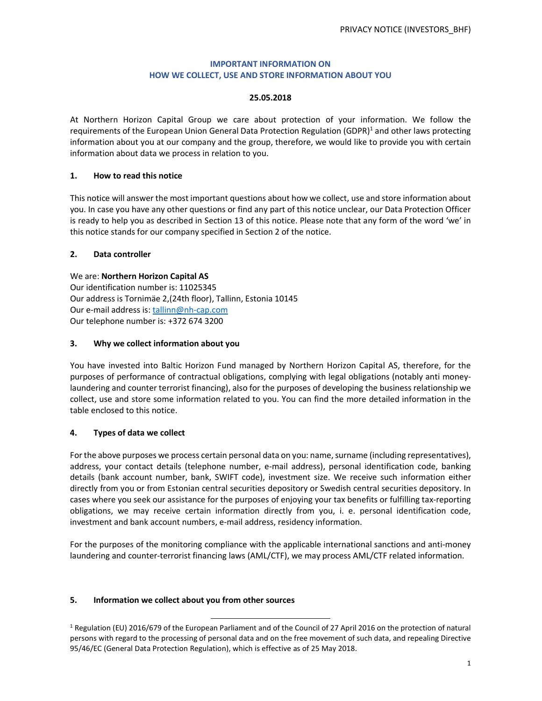## **IMPORTANT INFORMATION ON HOW WE COLLECT, USE AND STORE INFORMATION ABOUT YOU**

#### **25.05.2018**

At Northern Horizon Capital Group we care about protection of your information. We follow the requirements of the European Union General Data Protection Regulation (GDPR)<sup>1</sup> and other laws protecting information about you at our company and the group, therefore, we would like to provide you with certain information about data we process in relation to you.

#### **1. How to read this notice**

This notice will answer the most important questions about how we collect, use and store information about you. In case you have any other questions or find any part of this notice unclear, our Data Protection Officer is ready to help you as described in Section 13 of this notice. Please note that any form of the word 'we' in this notice stands for our company specified in Section 2 of the notice.

## **2. Data controller**

We are: **Northern Horizon Capital AS**  Our identification number is: 11025345 Our address is Tornimäe 2,(24th floor), Tallinn, Estonia 10145 Our e-mail address is: tallinn@nh-cap.com Our telephone number is: +372 674 3200

## **3. Why we collect information about you**

You have invested into Baltic Horizon Fund managed by Northern Horizon Capital AS, therefore, for the purposes of performance of contractual obligations, complying with legal obligations (notably anti moneylaundering and counter terrorist financing), also for the purposes of developing the business relationship we collect, use and store some information related to you. You can find the more detailed information in the table enclosed to this notice.

## **4. Types of data we collect**

For the above purposes we process certain personal data on you: name, surname (including representatives), address, your contact details (telephone number, e-mail address), personal identification code, banking details (bank account number, bank, SWIFT code), investment size. We receive such information either directly from you or from Estonian central securities depository or Swedish central securities depository. In cases where you seek our assistance for the purposes of enjoying your tax benefits or fulfilling tax-reporting obligations, we may receive certain information directly from you, i. e. personal identification code, investment and bank account numbers, e-mail address, residency information.

For the purposes of the monitoring compliance with the applicable international sanctions and anti-money laundering and counter-terrorist financing laws (AML/CTF), we may process AML/CTF related information.

#### **5. Information we collect about you from other sources**

l,

<sup>&</sup>lt;sup>1</sup> Regulation (EU) 2016/679 of the European Parliament and of the Council of 27 April 2016 on the protection of natural persons with regard to the processing of personal data and on the free movement of such data, and repealing Directive 95/46/EC (General Data Protection Regulation), which is effective as of 25 May 2018.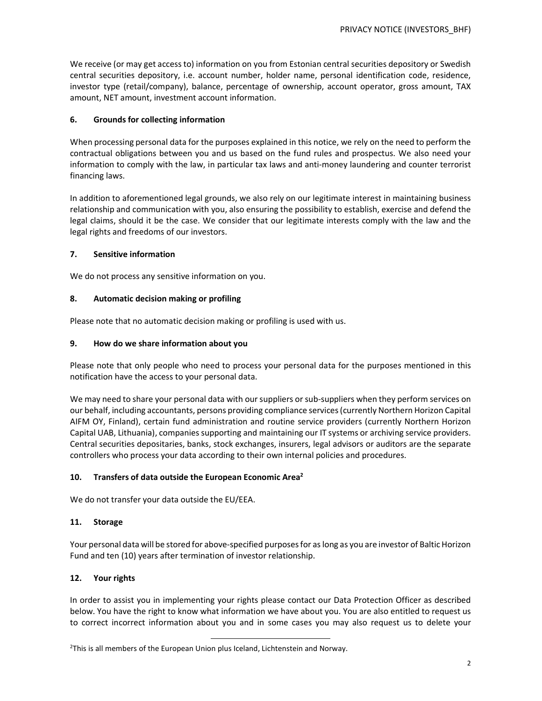We receive (or may get access to) information on you from Estonian central securities depository or Swedish central securities depository, i.e. account number, holder name, personal identification code, residence, investor type (retail/company), balance, percentage of ownership, account operator, gross amount, TAX amount, NET amount, investment account information.

### **6. Grounds for collecting information**

When processing personal data for the purposes explained in this notice, we rely on the need to perform the contractual obligations between you and us based on the fund rules and prospectus. We also need your information to comply with the law, in particular tax laws and anti-money laundering and counter terrorist financing laws.

In addition to aforementioned legal grounds, we also rely on our legitimate interest in maintaining business relationship and communication with you, also ensuring the possibility to establish, exercise and defend the legal claims, should it be the case. We consider that our legitimate interests comply with the law and the legal rights and freedoms of our investors.

#### **7. Sensitive information**

We do not process any sensitive information on you.

## **8. Automatic decision making or profiling**

Please note that no automatic decision making or profiling is used with us.

## **9. How do we share information about you**

Please note that only people who need to process your personal data for the purposes mentioned in this notification have the access to your personal data.

We may need to share your personal data with our suppliers or sub-suppliers when they perform services on our behalf, including accountants, persons providing compliance services (currently Northern Horizon Capital AIFM OY, Finland), certain fund administration and routine service providers (currently Northern Horizon Capital UAB, Lithuania), companies supporting and maintaining our IT systems or archiving service providers. Central securities depositaries, banks, stock exchanges, insurers, legal advisors or auditors are the separate controllers who process your data according to their own internal policies and procedures.

#### **10. Transfers of data outside the European Economic Area 2**

We do not transfer your data outside the EU/EEA.

#### **11. Storage**

Your personal data will be stored for above-specified purposes for as long as you are investor of Baltic Horizon Fund and ten (10) years after termination of investor relationship.

#### **12. Your rights**

In order to assist you in implementing your rights please contact our Data Protection Officer as described below. You have the right to know what information we have about you. You are also entitled to request us to correct incorrect information about you and in some cases you may also request us to delete your

<sup>1</sup>  $2$ This is all members of the European Union plus Iceland, Lichtenstein and Norway.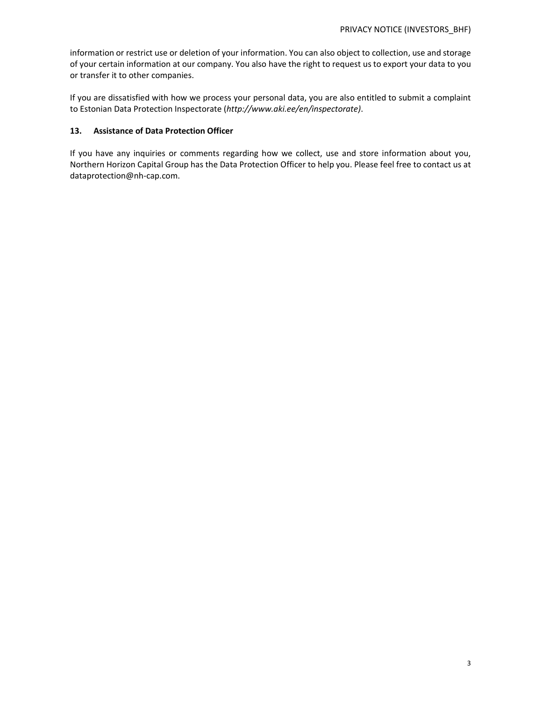information or restrict use or deletion of your information. You can also object to collection, use and storage of your certain information at our company. You also have the right to request us to export your data to you or transfer it to other companies.

If you are dissatisfied with how we process your personal data, you are also entitled to submit a complaint to Estonian Data Protection Inspectorate (*http://www.aki.ee/en/inspectorate)*.

## **13. Assistance of Data Protection Officer**

If you have any inquiries or comments regarding how we collect, use and store information about you, Northern Horizon Capital Group has the Data Protection Officer to help you. Please feel free to contact us at dataprotection@nh-cap.com.